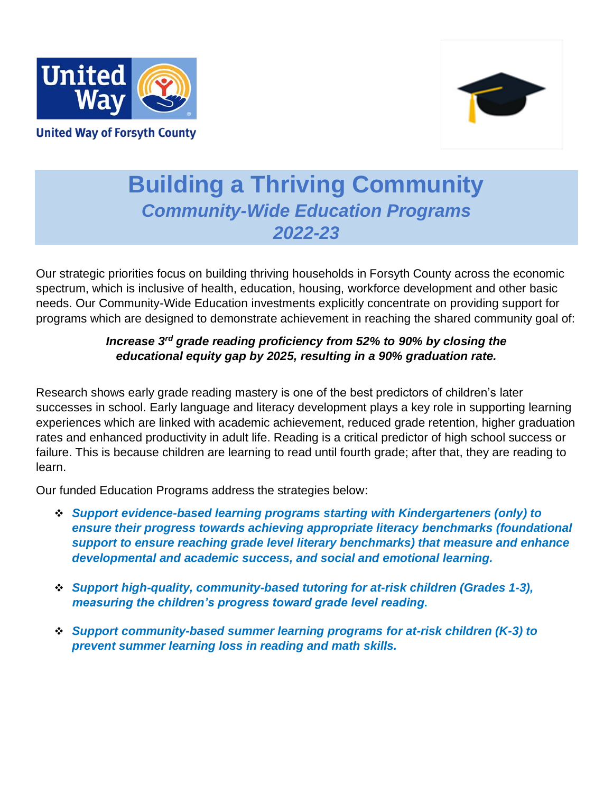



# **Building a Thriving Community** *Community-Wide Education Programs 2022-23*

Our strategic priorities focus on building thriving households in Forsyth County across the economic spectrum, which is inclusive of health, education, housing, workforce development and other basic needs. Our Community-Wide Education investments explicitly concentrate on providing support for programs which are designed to demonstrate achievement in reaching the shared community goal of:

# *Increase 3rd grade reading proficiency from 52% to 90% by closing the educational equity gap by 2025, resulting in a 90% graduation rate.*

Research shows early grade reading mastery is one of the best predictors of children's later successes in school. Early language and literacy development plays a key role in supporting learning experiences which are linked with academic achievement, reduced grade retention, higher graduation rates and enhanced productivity in adult life. Reading is a critical predictor of high school success or failure. This is because children are learning to read until fourth grade; after that, they are reading to learn.

Our funded Education Programs address the strategies below:

- ❖ *Support evidence-based learning programs starting with Kindergarteners (only) to ensure their progress towards achieving appropriate literacy benchmarks (foundational support to ensure reaching grade level literary benchmarks) that measure and enhance developmental and academic success, and social and emotional learning.*
- ❖ *Support high-quality, community-based tutoring for at-risk children (Grades 1-3), measuring the children's progress toward grade level reading.*
- ❖ *Support community-based summer learning programs for at-risk children (K-3) to prevent summer learning loss in reading and math skills.*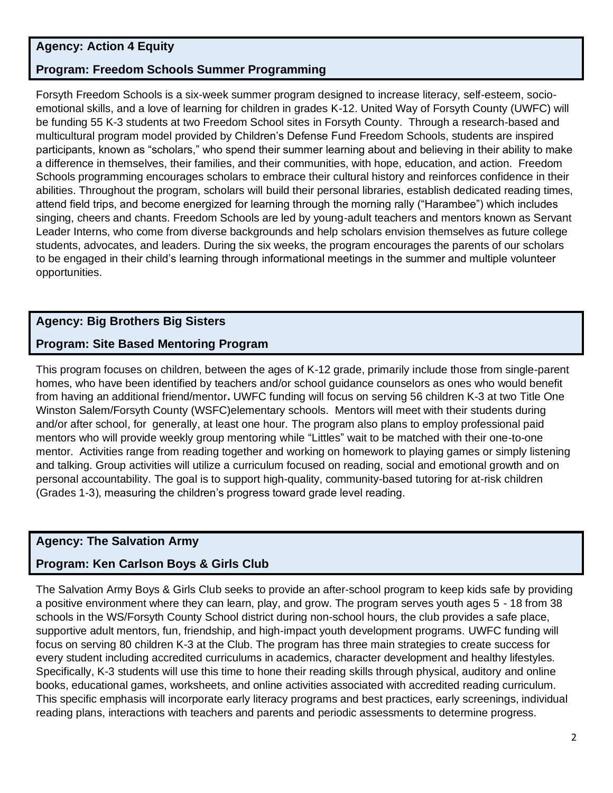# **Agency: Action 4 Equity**

#### **Program: Freedom Schools Summer Programming**

Forsyth Freedom Schools is a six-week summer program designed to increase literacy, self-esteem, socioemotional skills, and a love of learning for children in grades K-12. United Way of Forsyth County (UWFC) will be funding 55 K-3 students at two Freedom School sites in Forsyth County. Through a research-based and multicultural program model provided by Children's Defense Fund Freedom Schools, students are inspired participants, known as "scholars," who spend their summer learning about and believing in their ability to make a difference in themselves, their families, and their communities, with hope, education, and action. Freedom Schools programming encourages scholars to embrace their cultural history and reinforces confidence in their abilities. Throughout the program, scholars will build their personal libraries, establish dedicated reading times, attend field trips, and become energized for learning through the morning rally ("Harambee") which includes singing, cheers and chants. Freedom Schools are led by young-adult teachers and mentors known as Servant Leader Interns, who come from diverse backgrounds and help scholars envision themselves as future college students, advocates, and leaders. During the six weeks, the program encourages the parents of our scholars to be engaged in their child's learning through informational meetings in the summer and multiple volunteer opportunities.

#### **Agency: Big Brothers Big Sisters**

#### **Program: Site Based Mentoring Program**

This program focuses on children, between the ages of K-12 grade, primarily include those from single-parent homes, who have been identified by teachers and/or school guidance counselors as ones who would benefit from having an additional friend/mentor**.** UWFC funding will focus on serving 56 children K-3 at two Title One Winston Salem/Forsyth County (WSFC)elementary schools. Mentors will meet with their students during and/or after school, for generally, at least one hour. The program also plans to employ professional paid mentors who will provide weekly group mentoring while "Littles" wait to be matched with their one-to-one mentor. Activities range from reading together and working on homework to playing games or simply listening and talking. Group activities will utilize a curriculum focused on reading, social and emotional growth and on personal accountability. The goal is to support high-quality, community-based tutoring for at-risk children (Grades 1-3), measuring the children's progress toward grade level reading.

# **Agency: The Salvation Army**

# **Program: Ken Carlson Boys & Girls Club**

The Salvation Army Boys & Girls Club seeks to provide an after-school program to keep kids safe by providing a positive environment where they can learn, play, and grow. The program serves youth ages 5 - 18 from 38 schools in the WS/Forsyth County School district during non-school hours, the club provides a safe place, supportive adult mentors, fun, friendship, and high-impact youth development programs. UWFC funding will focus on serving 80 children K-3 at the Club. The program has three main strategies to create success for every student including accredited curriculums in academics, character development and healthy lifestyles. Specifically, K-3 students will use this time to hone their reading skills through physical, auditory and online books, educational games, worksheets, and online activities associated with accredited reading curriculum. This specific emphasis will incorporate early literacy programs and best practices, early screenings, individual reading plans, interactions with teachers and parents and periodic assessments to determine progress.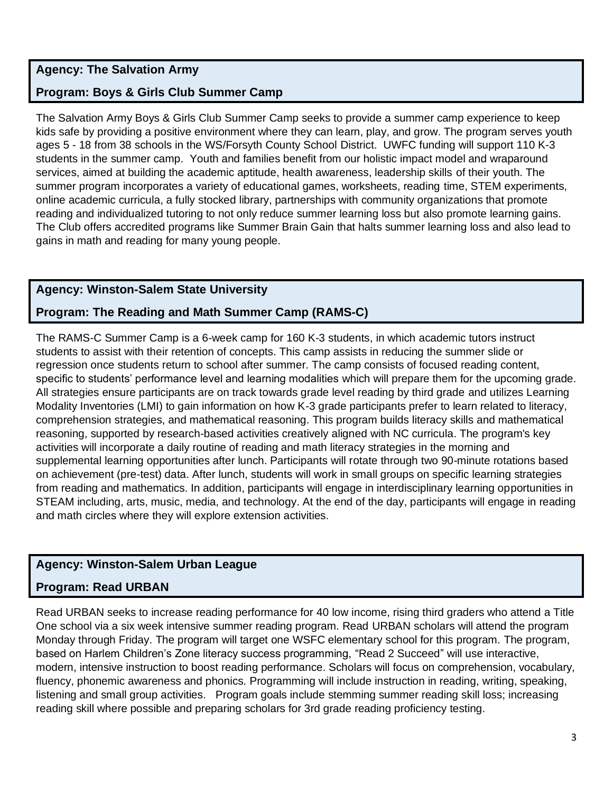### **Agency: The Salvation Army**

### **Program: Boys & Girls Club Summer Camp**

The Salvation Army Boys & Girls Club Summer Camp seeks to provide a summer camp experience to keep kids safe by providing a positive environment where they can learn, play, and grow. The program serves youth ages 5 - 18 from 38 schools in the WS/Forsyth County School District. UWFC funding will support 110 K-3 students in the summer camp. Youth and families benefit from our holistic impact model and wraparound services, aimed at building the academic aptitude, health awareness, leadership skills of their youth. The summer program incorporates a variety of educational games, worksheets, reading time, STEM experiments, online academic curricula, a fully stocked library, partnerships with community organizations that promote reading and individualized tutoring to not only reduce summer learning loss but also promote learning gains. The Club offers accredited programs like Summer Brain Gain that halts summer learning loss and also lead to gains in math and reading for many young people.

#### **Agency: Winston-Salem State University**

#### **Program: The Reading and Math Summer Camp (RAMS-C)**

The RAMS-C Summer Camp is a 6-week camp for 160 K-3 students, in which academic tutors instruct students to assist with their retention of concepts. This camp assists in reducing the summer slide or regression once students return to school after summer. The camp consists of focused reading content, specific to students' performance level and learning modalities which will prepare them for the upcoming grade. All strategies ensure participants are on track towards grade level reading by third grade and utilizes Learning Modality Inventories (LMI) to gain information on how K-3 grade participants prefer to learn related to literacy, comprehension strategies, and mathematical reasoning. This program builds literacy skills and mathematical reasoning, supported by research-based activities creatively aligned with NC curricula. The program's key activities will incorporate a daily routine of reading and math literacy strategies in the morning and supplemental learning opportunities after lunch. Participants will rotate through two 90-minute rotations based on achievement (pre-test) data. After lunch, students will work in small groups on specific learning strategies from reading and mathematics. In addition, participants will engage in interdisciplinary learning opportunities in STEAM including, arts, music, media, and technology. At the end of the day, participants will engage in reading and math circles where they will explore extension activities.

#### **Agency: Winston-Salem Urban League**

#### **Program: Read URBAN**

Read URBAN seeks to increase reading performance for 40 low income, rising third graders who attend a Title One school via a six week intensive summer reading program. Read URBAN scholars will attend the program Monday through Friday. The program will target one WSFC elementary school for this program. The program, based on Harlem Children's Zone literacy success programming, "Read 2 Succeed" will use interactive, modern, intensive instruction to boost reading performance. Scholars will focus on comprehension, vocabulary, fluency, phonemic awareness and phonics. Programming will include instruction in reading, writing, speaking, listening and small group activities. Program goals include stemming summer reading skill loss; increasing reading skill where possible and preparing scholars for 3rd grade reading proficiency testing.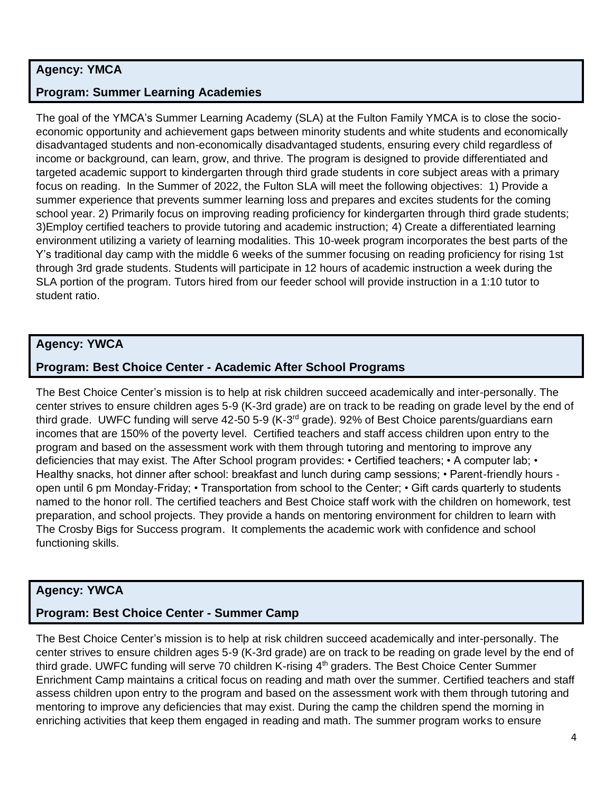### **Agency: YMCA**

#### **Program: Summer Learning Academies**

The goal of the YMCA's Summer Learning Academy (SLA) at the Fulton Family YMCA is to close the socioeconomic opportunity and achievement gaps between minority students and white students and economically disadvantaged students and non-economically disadvantaged students, ensuring every child regardless of income or background, can learn, grow, and thrive. The program is designed to provide differentiated and targeted academic support to kindergarten through third grade students in core subject areas with a primary focus on reading. In the Summer of 2022, the Fulton SLA will meet the following objectives: 1) Provide a summer experience that prevents summer learning loss and prepares and excites students for the coming school year. 2) Primarily focus on improving reading proficiency for kindergarten through third grade students; 3)Employ certified teachers to provide tutoring and academic instruction; 4) Create a differentiated learning environment utilizing a variety of learning modalities. This 10-week program incorporates the best parts of the Y's traditional day camp with the middle 6 weeks of the summer focusing on reading proficiency for rising 1st through 3rd grade students. Students will participate in 12 hours of academic instruction a week during the SLA portion of the program. Tutors hired from our feeder school will provide instruction in a 1:10 tutor to student ratio.

#### **Agency: YWCA**

#### **Program: Best Choice Center - Academic After School Programs**

The Best Choice Center's mission is to help at risk children succeed academically and inter-personally. The center strives to ensure children ages 5-9 (K-3rd grade) are on track to be reading on grade level by the end of third grade. UWFC funding will serve 42-50 5-9 (K-3<sup>rd</sup> grade). 92% of Best Choice parents/guardians earn incomes that are 150% of the poverty level. Certified teachers and staff access children upon entry to the program and based on the assessment work with them through tutoring and mentoring to improve any deficiencies that may exist. The After School program provides: • Certified teachers; • A computer lab; • Healthy snacks, hot dinner after school: breakfast and lunch during camp sessions; • Parent-friendly hours open until 6 pm Monday-Friday; • Transportation from school to the Center; • Gift cards quarterly to students named to the honor roll. The certified teachers and Best Choice staff work with the children on homework, test preparation, and school projects. They provide a hands on mentoring environment for children to learn with The Crosby Bigs for Success program. It complements the academic work with confidence and school functioning skills.

# **Agency: YWCA**

#### **Program: Best Choice Center - Summer Camp**

The Best Choice Center's mission is to help at risk children succeed academically and inter-personally. The center strives to ensure children ages 5-9 (K-3rd grade) are on track to be reading on grade level by the end of third grade. UWFC funding will serve 70 children K-rising 4<sup>th</sup> graders. The Best Choice Center Summer Enrichment Camp maintains a critical focus on reading and math over the summer. Certified teachers and staff assess children upon entry to the program and based on the assessment work with them through tutoring and mentoring to improve any deficiencies that may exist. During the camp the children spend the morning in enriching activities that keep them engaged in reading and math. The summer program works to ensure